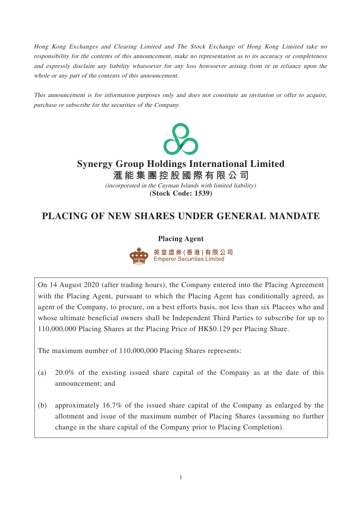Hong Kong Exchanges and Clearing Limited and The Stock Exchange of Hong Kong Limited take no responsibility for the contents of this announcement, make no representation as to its accuracy or completeness and expressly disclaim any liability whatsoever for any loss howsoever arising from or in reliance upon the whole or any part of the contents of this announcement.

This announcement is for information purposes only and does not constitute an invitation or offer to acquire, purchase or subscribe for the securities of the Company.



# **Synergy Group Holdings International Limited**

**滙能集團控股國際有限公 司 (Stock Code: 1539)** (incorporated in the Cayman Islands with limited liability)

## **PLACING OF NEW SHARES UNDER GENERAL MANDATE**

#### **Placing Agent**



英 皇 證 券 ( 香 港 ) 有 限 公 司 Emperor Securities Limited

On 14 August 2020 (after trading hours), the Company entered into the Placing Agreement with the Placing Agent, pursuant to which the Placing Agent has conditionally agreed, as agent of the Company, to procure, on a best efforts basis, not less than six Placees who and whose ultimate beneficial owners shall be Independent Third Parties to subscribe for up to 110,000,000 Placing Shares at the Placing Price of HK\$0.129 per Placing Share.

The maximum number of 110,000,000 Placing Shares represents:

- (a) 20.0% of the existing issued share capital of the Company as at the date of this announcement; and
- (b) approximately 16.7% of the issued share capital of the Company as enlarged by the allotment and issue of the maximum number of Placing Shares (assuming no further change in the share capital of the Company prior to Placing Completion).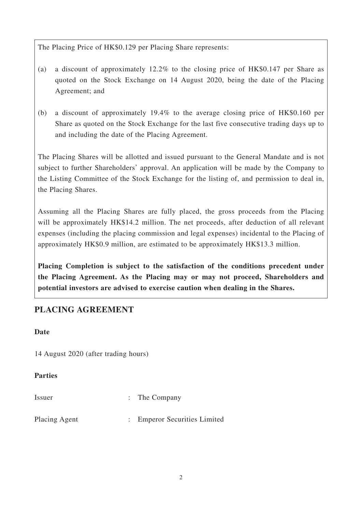The Placing Price of HK\$0.129 per Placing Share represents:

- (a) a discount of approximately 12.2% to the closing price of HK\$0.147 per Share as quoted on the Stock Exchange on 14 August 2020, being the date of the Placing Agreement; and
- (b) a discount of approximately 19.4% to the average closing price of HK\$0.160 per Share as quoted on the Stock Exchange for the last five consecutive trading days up to and including the date of the Placing Agreement.

The Placing Shares will be allotted and issued pursuant to the General Mandate and is not subject to further Shareholders' approval. An application will be made by the Company to the Listing Committee of the Stock Exchange for the listing of, and permission to deal in, the Placing Shares.

Assuming all the Placing Shares are fully placed, the gross proceeds from the Placing will be approximately HK\$14.2 million. The net proceeds, after deduction of all relevant expenses (including the placing commission and legal expenses) incidental to the Placing of approximately HK\$0.9 million, are estimated to be approximately HK\$13.3 million.

**Placing Completion is subject to the satisfaction of the conditions precedent under the Placing Agreement. As the Placing may or may not proceed, Shareholders and potential investors are advised to exercise caution when dealing in the Shares.**

## **PLACING AGREEMENT**

#### **Date**

14 August 2020 (after trading hours)

#### **Parties**

| Issuer        | $\therefore$ The Company     |
|---------------|------------------------------|
| Placing Agent | : Emperor Securities Limited |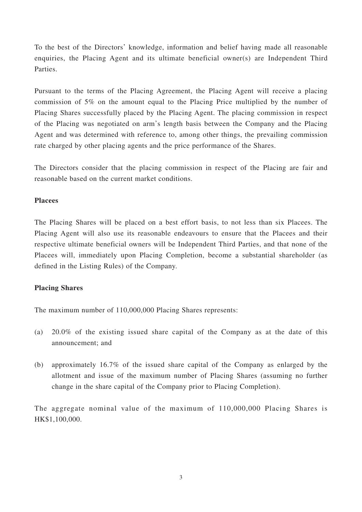To the best of the Directors' knowledge, information and belief having made all reasonable enquiries, the Placing Agent and its ultimate beneficial owner(s) are Independent Third Parties.

Pursuant to the terms of the Placing Agreement, the Placing Agent will receive a placing commission of 5% on the amount equal to the Placing Price multiplied by the number of Placing Shares successfully placed by the Placing Agent. The placing commission in respect of the Placing was negotiated on arm's length basis between the Company and the Placing Agent and was determined with reference to, among other things, the prevailing commission rate charged by other placing agents and the price performance of the Shares.

The Directors consider that the placing commission in respect of the Placing are fair and reasonable based on the current market conditions.

#### **Placees**

The Placing Shares will be placed on a best effort basis, to not less than six Placees. The Placing Agent will also use its reasonable endeavours to ensure that the Placees and their respective ultimate beneficial owners will be Independent Third Parties, and that none of the Placees will, immediately upon Placing Completion, become a substantial shareholder (as defined in the Listing Rules) of the Company.

#### **Placing Shares**

The maximum number of 110,000,000 Placing Shares represents:

- (a) 20.0% of the existing issued share capital of the Company as at the date of this announcement; and
- (b) approximately 16.7% of the issued share capital of the Company as enlarged by the allotment and issue of the maximum number of Placing Shares (assuming no further change in the share capital of the Company prior to Placing Completion).

The aggregate nominal value of the maximum of 110,000,000 Placing Shares is HK\$1,100,000.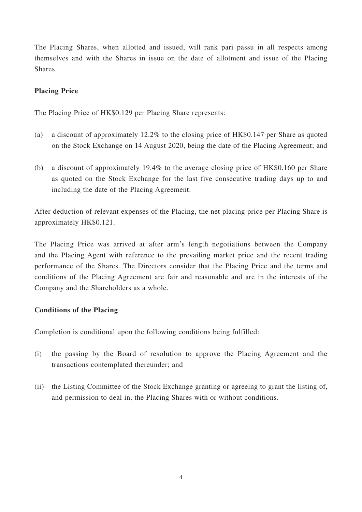The Placing Shares, when allotted and issued, will rank pari passu in all respects among themselves and with the Shares in issue on the date of allotment and issue of the Placing Shares.

#### **Placing Price**

The Placing Price of HK\$0.129 per Placing Share represents:

- (a) a discount of approximately 12.2% to the closing price of HK\$0.147 per Share as quoted on the Stock Exchange on 14 August 2020, being the date of the Placing Agreement; and
- (b) a discount of approximately 19.4% to the average closing price of HK\$0.160 per Share as quoted on the Stock Exchange for the last five consecutive trading days up to and including the date of the Placing Agreement.

After deduction of relevant expenses of the Placing, the net placing price per Placing Share is approximately HK\$0.121.

The Placing Price was arrived at after arm's length negotiations between the Company and the Placing Agent with reference to the prevailing market price and the recent trading performance of the Shares. The Directors consider that the Placing Price and the terms and conditions of the Placing Agreement are fair and reasonable and are in the interests of the Company and the Shareholders as a whole.

#### **Conditions of the Placing**

Completion is conditional upon the following conditions being fulfilled:

- (i) the passing by the Board of resolution to approve the Placing Agreement and the transactions contemplated thereunder; and
- (ii) the Listing Committee of the Stock Exchange granting or agreeing to grant the listing of, and permission to deal in, the Placing Shares with or without conditions.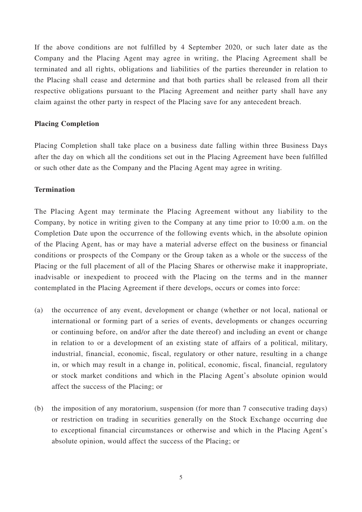If the above conditions are not fulfilled by 4 September 2020, or such later date as the Company and the Placing Agent may agree in writing, the Placing Agreement shall be terminated and all rights, obligations and liabilities of the parties thereunder in relation to the Placing shall cease and determine and that both parties shall be released from all their respective obligations pursuant to the Placing Agreement and neither party shall have any claim against the other party in respect of the Placing save for any antecedent breach.

#### **Placing Completion**

Placing Completion shall take place on a business date falling within three Business Days after the day on which all the conditions set out in the Placing Agreement have been fulfilled or such other date as the Company and the Placing Agent may agree in writing.

#### **Termination**

The Placing Agent may terminate the Placing Agreement without any liability to the Company, by notice in writing given to the Company at any time prior to 10:00 a.m. on the Completion Date upon the occurrence of the following events which, in the absolute opinion of the Placing Agent, has or may have a material adverse effect on the business or financial conditions or prospects of the Company or the Group taken as a whole or the success of the Placing or the full placement of all of the Placing Shares or otherwise make it inappropriate, inadvisable or inexpedient to proceed with the Placing on the terms and in the manner contemplated in the Placing Agreement if there develops, occurs or comes into force:

- (a) the occurrence of any event, development or change (whether or not local, national or international or forming part of a series of events, developments or changes occurring or continuing before, on and/or after the date thereof) and including an event or change in relation to or a development of an existing state of affairs of a political, military, industrial, financial, economic, fiscal, regulatory or other nature, resulting in a change in, or which may result in a change in, political, economic, fiscal, financial, regulatory or stock market conditions and which in the Placing Agent's absolute opinion would affect the success of the Placing; or
- (b) the imposition of any moratorium, suspension (for more than 7 consecutive trading days) or restriction on trading in securities generally on the Stock Exchange occurring due to exceptional financial circumstances or otherwise and which in the Placing Agent's absolute opinion, would affect the success of the Placing; or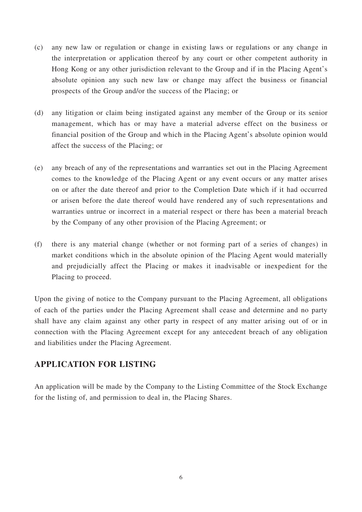- (c) any new law or regulation or change in existing laws or regulations or any change in the interpretation or application thereof by any court or other competent authority in Hong Kong or any other jurisdiction relevant to the Group and if in the Placing Agent's absolute opinion any such new law or change may affect the business or financial prospects of the Group and/or the success of the Placing; or
- (d) any litigation or claim being instigated against any member of the Group or its senior management, which has or may have a material adverse effect on the business or financial position of the Group and which in the Placing Agent's absolute opinion would affect the success of the Placing; or
- (e) any breach of any of the representations and warranties set out in the Placing Agreement comes to the knowledge of the Placing Agent or any event occurs or any matter arises on or after the date thereof and prior to the Completion Date which if it had occurred or arisen before the date thereof would have rendered any of such representations and warranties untrue or incorrect in a material respect or there has been a material breach by the Company of any other provision of the Placing Agreement; or
- (f) there is any material change (whether or not forming part of a series of changes) in market conditions which in the absolute opinion of the Placing Agent would materially and prejudicially affect the Placing or makes it inadvisable or inexpedient for the Placing to proceed.

Upon the giving of notice to the Company pursuant to the Placing Agreement, all obligations of each of the parties under the Placing Agreement shall cease and determine and no party shall have any claim against any other party in respect of any matter arising out of or in connection with the Placing Agreement except for any antecedent breach of any obligation and liabilities under the Placing Agreement.

## **APPLICATION FOR LISTING**

An application will be made by the Company to the Listing Committee of the Stock Exchange for the listing of, and permission to deal in, the Placing Shares.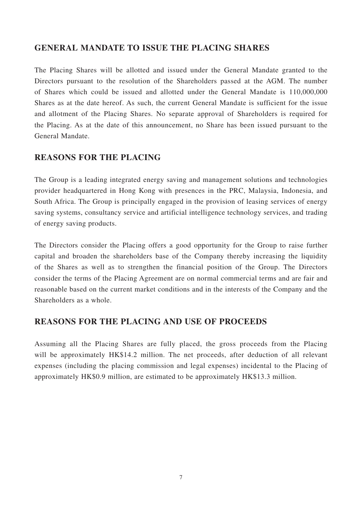## **GENERAL MANDATE TO ISSUE THE PLACING SHARES**

The Placing Shares will be allotted and issued under the General Mandate granted to the Directors pursuant to the resolution of the Shareholders passed at the AGM. The number of Shares which could be issued and allotted under the General Mandate is 110,000,000 Shares as at the date hereof. As such, the current General Mandate is sufficient for the issue and allotment of the Placing Shares. No separate approval of Shareholders is required for the Placing. As at the date of this announcement, no Share has been issued pursuant to the General Mandate.

## **REASONS FOR THE PLACING**

The Group is a leading integrated energy saving and management solutions and technologies provider headquartered in Hong Kong with presences in the PRC, Malaysia, Indonesia, and South Africa. The Group is principally engaged in the provision of leasing services of energy saving systems, consultancy service and artificial intelligence technology services, and trading of energy saving products.

The Directors consider the Placing offers a good opportunity for the Group to raise further capital and broaden the shareholders base of the Company thereby increasing the liquidity of the Shares as well as to strengthen the financial position of the Group. The Directors consider the terms of the Placing Agreement are on normal commercial terms and are fair and reasonable based on the current market conditions and in the interests of the Company and the Shareholders as a whole.

## **REASONS FOR THE PLACING AND USE OF PROCEEDS**

Assuming all the Placing Shares are fully placed, the gross proceeds from the Placing will be approximately HK\$14.2 million. The net proceeds, after deduction of all relevant expenses (including the placing commission and legal expenses) incidental to the Placing of approximately HK\$0.9 million, are estimated to be approximately HK\$13.3 million.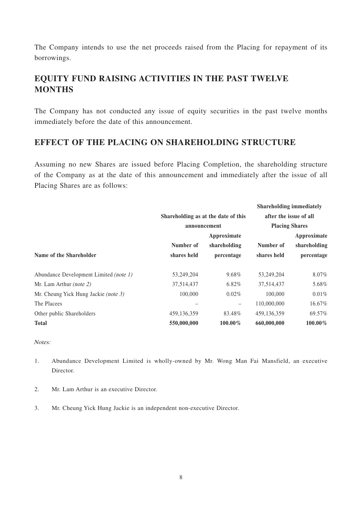The Company intends to use the net proceeds raised from the Placing for repayment of its borrowings.

## **EQUITY FUND RAISING ACTIVITIES IN THE PAST TWELVE MONTHS**

The Company has not conducted any issue of equity securities in the past twelve months immediately before the date of this announcement.

## **EFFECT OF THE PLACING ON SHAREHOLDING STRUCTURE**

Assuming no new Shares are issued before Placing Completion, the shareholding structure of the Company as at the date of this announcement and immediately after the issue of all Placing Shares are as follows:

|                                        |                                                     |              | <b>Shareholding immediately</b>                 |              |
|----------------------------------------|-----------------------------------------------------|--------------|-------------------------------------------------|--------------|
|                                        | Shareholding as at the date of this<br>announcement |              | after the issue of all<br><b>Placing Shares</b> |              |
|                                        |                                                     |              |                                                 |              |
|                                        |                                                     | Approximate  | Approximate                                     |              |
|                                        | Number of                                           | shareholding | Number of                                       | shareholding |
| Name of the Shareholder                | shares held                                         | percentage   | shares held                                     | percentage   |
| Abundance Development Limited (note 1) | 53,249,204                                          | 9.68%        | 53,249,204                                      | 8.07%        |
| Mr. Lam Arthur <i>(note 2)</i>         | 37,514,437                                          | 6.82%        | 37,514,437                                      | 5.68%        |
| Mr. Cheung Yick Hung Jackie (note 3)   | 100,000                                             | $0.02\%$     | 100,000                                         | 0.01%        |
| The Placees                            |                                                     | -            | 110,000,000                                     | 16.67%       |
| Other public Shareholders              | 459, 136, 359                                       | 83.48%       | 459, 136, 359                                   | 69.57%       |
| <b>Total</b>                           | 550,000,000                                         | $100.00\%$   | 660,000,000                                     | $100.00\%$   |

Notes:

- 1. Abundance Development Limited is wholly-owned by Mr. Wong Man Fai Mansfield, an executive Director.
- 2. Mr. Lam Arthur is an executive Director.
- 3. Mr. Cheung Yick Hung Jackie is an independent non-executive Director.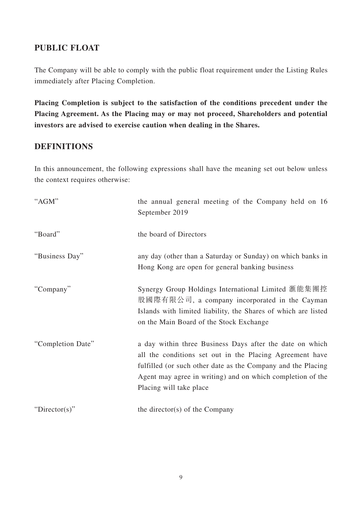## **PUBLIC FLOAT**

The Company will be able to comply with the public float requirement under the Listing Rules immediately after Placing Completion.

**Placing Completion is subject to the satisfaction of the conditions precedent under the Placing Agreement. As the Placing may or may not proceed, Shareholders and potential investors are advised to exercise caution when dealing in the Shares.**

## **DEFINITIONS**

In this announcement, the following expressions shall have the meaning set out below unless the context requires otherwise:

| "AGM"             | the annual general meeting of the Company held on 16<br>September 2019                                                                                                                                                                                                        |
|-------------------|-------------------------------------------------------------------------------------------------------------------------------------------------------------------------------------------------------------------------------------------------------------------------------|
| "Board"           | the board of Directors                                                                                                                                                                                                                                                        |
| "Business Day"    | any day (other than a Saturday or Sunday) on which banks in<br>Hong Kong are open for general banking business                                                                                                                                                                |
| "Company"         | Synergy Group Holdings International Limited 滙能集團控<br>股國際有限公司, a company incorporated in the Cayman<br>Islands with limited liability, the Shares of which are listed<br>on the Main Board of the Stock Exchange                                                              |
| "Completion Date" | a day within three Business Days after the date on which<br>all the conditions set out in the Placing Agreement have<br>fulfilled (or such other date as the Company and the Placing<br>Agent may agree in writing) and on which completion of the<br>Placing will take place |
| "Director(s)"     | the director(s) of the Company                                                                                                                                                                                                                                                |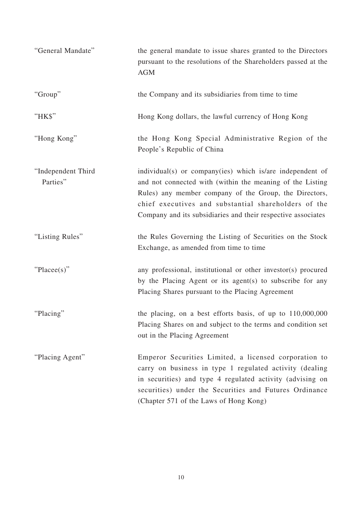| "General Mandate"              | the general mandate to issue shares granted to the Directors<br>pursuant to the resolutions of the Shareholders passed at the<br><b>AGM</b>                                                                                                                                                              |
|--------------------------------|----------------------------------------------------------------------------------------------------------------------------------------------------------------------------------------------------------------------------------------------------------------------------------------------------------|
| "Group"                        | the Company and its subsidiaries from time to time                                                                                                                                                                                                                                                       |
| "HK\$"                         | Hong Kong dollars, the lawful currency of Hong Kong                                                                                                                                                                                                                                                      |
| "Hong Kong"                    | the Hong Kong Special Administrative Region of the<br>People's Republic of China                                                                                                                                                                                                                         |
| "Independent Third<br>Parties" | individual(s) or company(ies) which is/are independent of<br>and not connected with (within the meaning of the Listing<br>Rules) any member company of the Group, the Directors,<br>chief executives and substantial shareholders of the<br>Company and its subsidiaries and their respective associates |
| "Listing Rules"                | the Rules Governing the Listing of Securities on the Stock<br>Exchange, as amended from time to time                                                                                                                                                                                                     |
| " $Place(s)$ "                 | any professional, institutional or other investor(s) procured<br>by the Placing Agent or its agent(s) to subscribe for any<br>Placing Shares pursuant to the Placing Agreement                                                                                                                           |
| "Placing"                      | the placing, on a best efforts basis, of up to 110,000,000<br>Placing Shares on and subject to the terms and condition set<br>out in the Placing Agreement                                                                                                                                               |
| "Placing Agent"                | Emperor Securities Limited, a licensed corporation to<br>carry on business in type 1 regulated activity (dealing<br>in securities) and type 4 regulated activity (advising on<br>securities) under the Securities and Futures Ordinance<br>(Chapter 571 of the Laws of Hong Kong)                        |